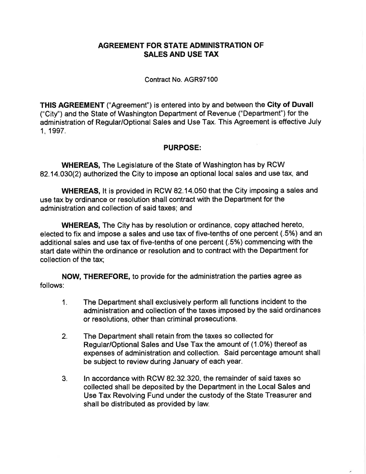## AGREEMENT FOR STATE ADMINISTRATION OF SALES AND USE TAX

## Contract No. 4GR97100

THIS AGREEMENT ("Agreement") is entered into by and between the City of Duvall ("City") and the State of Washington Department of Revenue ("Department") for the administration of Regular/Optional Sales and Use Tax. This Agreement is effective July 1, 1997.

## PURPOSE:

WHEREAS, The Legislature of the State of Washington has by RCW 82.14.030(2) authorized the City to impose an optional local sales and use tax, and

WHEREAS, It is provided in RCW 82.14.050 that the City imposing a sales and use tax by ordinance or resolution shall contract with the Department for the administration and collection of said taxes; and

WHEREAS, The City has by resolution or ordinance, copy attached hereto, elected to fix and impose a sales and use tax of five-tenths of one percent (.5%) and an additional sales and use tax of five-tenths of one percent (.5%) commencing with the start date within the ordinance or resolution and to contract with the Department for collection of the tax;

NOW, THEREFORE, to provide for the administration the parties agree as follows:

- 1. The Department shall exclusively perform all functions incident to the administration and collection of the taxes imposed by the said ordinances or resolutions, other than criminal prosecutions.
- 2. The Department shall retain from the taxes so collected for Regular/Optional Sales and Use Tax the amount of (1.0%) thereof as expenses of administration and collection. Said percentage amount shall be subject to review during January of each yeat.
- 3. ln accordance with RCW 82.32.320, the remainder of said taxes so collected shall be deposited by the Department in the Local Sales and Use Tax Revolving Fund under the custody of the State Treasurer and shall be distributed as provided by law.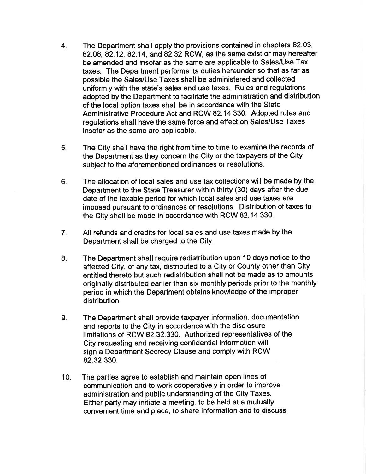- 4 The Department shall apply the provisions contained in chapters 82.03, 82.08, 82.12, 82.14, and 82.32 RCW, as the same exist or may hereafter be amended and insofar as the same are applicable to Sales/Use Tax taxes. The Department performs its duties hereunder so that as far as possible the Sales/Use Taxes shall be administered and collected uniformly with the state's sales and use taxes. Rules and regulations adopted by the Department to facilitate the administration and distribution of the local option taxes shall be in accordance with the State Administrative Procedure Act and RCW 82.14.330. Adopted rules and regulations shall have the same force and effect on Sales/Use Taxes insofar as the same are applicable.
- The City shall have the right from time to time to examine the records of the Department as they concern the City or the taxpayers of the City subject to the aforementioned ordinances or resolutions. 5.
- The allocation of local sales and use tax collections will be made by the Department to the State Treasurer within thirty (30) days after the due date of thé taxable period for which local sales and use taxes are imposed pursuant to ordinances or resolutions. Distribution of taxes to the City shall be made in accordance with RCW 82.14.330. 6.
- All refunds and credits for local sales and use taxes made by the Department shall be charged to the City. 7.
- The Department shall require redistribution upon 10 days notice to the affected City, of any tax, distributed to a City or County other than City entitled thereto but such redistribution shall not be made as to amounts originally distributed earlier than six monthly periods prior to the monthly period in which the Department obtains knowledge of the improper distribution. 8.
- The Department shall provide taxpayer information, documentation and reports to the City in accordance with the disclosure limitations of RCW 82.32.330. Authorized representatives of the City requesting and receiving confidential information will sign a Department Secrecy Clause and comply with RCW 82.32.330. 9.
- The parties agree to establish and maintain open lines of communication and to work cooperatively in order to improve administration and public understanding of the City Taxes. Either party may initiate a meeting, to be held at a mutually convenient time and place, to share information and to discuss 10.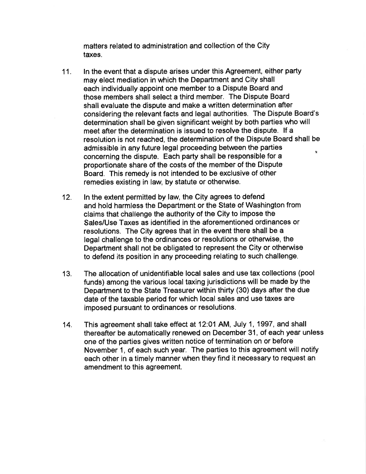matters related to administration and collection of the City taxes.

- 11. ln the event that a dispute arises under this Agreement, either party may elect mediation in which the Department and City shall each individually appoint one member to a Dispute Board and those members shall select a third member. The Dispute Board shall evaluate the dispute and make a written determination after considering the relevant facts and legal authorities. The Dispute Board's determination shall be given significant weight by both parties who will meet after the determination is issued to resolve the dispute. lf a resolution is not reached, the determination of the Dispute Board shall be admissible in any future legal proceeding between the parties  $\tilde{N}$ concerning the dispute. Each party shall be responsible for a proportionate share of the costs of the member of the Dispute Board. This remedy is not intended to be exclusive of other remedies existing in law, by statute or otherwise.
- 12. ln the extent permitted by law, the City agrees to defend and hold harmless the Department or the State of Washington from claims that challenge the authority of the Cíty to impose the Sales/Use Taxes as identified in the aforementioned ordinances or resolutions. The City agrees that in the event there shall be a legal challenge to the ordinances or resolutions or otherwise, the Department shall not be obligated to represent the City or otherwise to defend its position in any proceeding relating to such challenge.
- 13. The allocation of unidentifiable local sales and use tax collections (pool funds) among the various local taxing jurisdictions will be made by the Department to the State Treasurer within thirty (30) days after the due date of the taxable period for which local sales and use taxes are imposed pursuant to ordinances or resolutions.
- 14. This agreement shall take effect at 12:01 AM, July 1, 1997, and shall thereafter be automatically renewed on December 31, of each year unless one of the parties gives written notice of termination on or before November 1, of each such yeat. The parties to this agreement will notify each other in a timely manner when they find it necessary to request an amendment to this agreement.